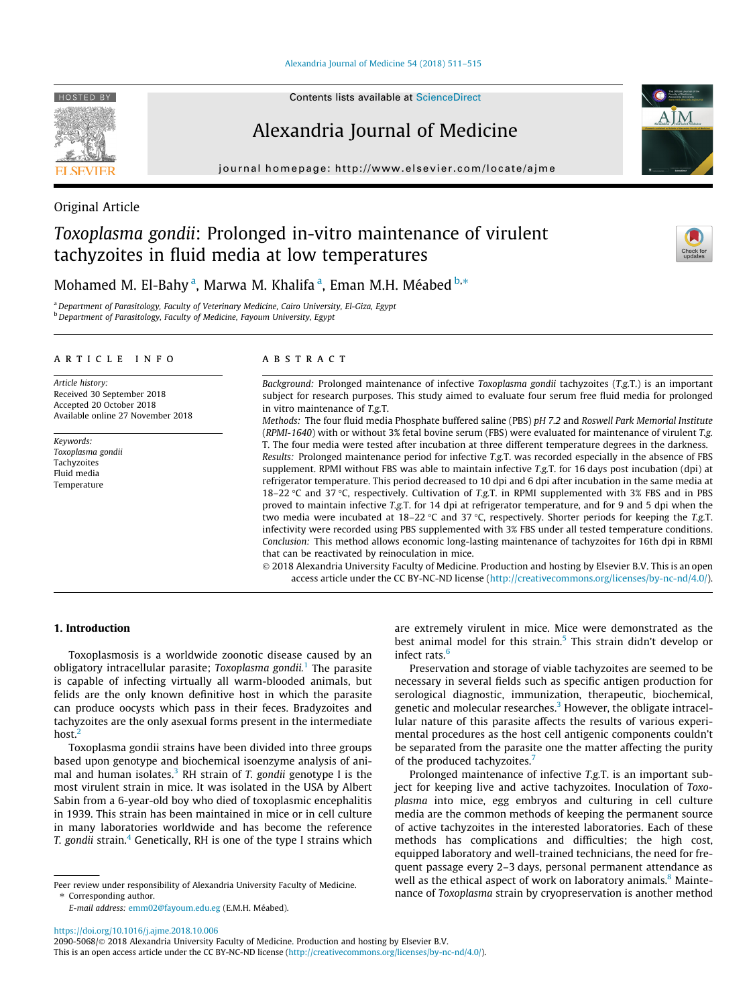[Alexandria Journal of Medicine 54 \(2018\) 511–515](https://doi.org/10.1016/j.ajme.2018.10.006)

HOSTED BY

## Alexandria Journal of Medicine

journal homepage: [http://www.elsevier.com/locate/ajme](http://http://www.elsevier.com/locate/ajme)

# Toxoplasma gondii: Prolonged in-vitro maintenance of virulent tachyzoites in fluid media at low temperatures



Mohamed M. El-Bahy <sup>a</sup>, Marwa M. Khalifa <sup>a</sup>, Eman M.H. Méabed <sup>b,</sup>\*

<sup>a</sup> Department of Parasitology, Faculty of Veterinary Medicine, Cairo University, El-Giza, Egypt **b** Department of Parasitology, Faculty of Medicine, Fayoum University, Egypt

#### article info

Original Article

Article history: Received 30 September 2018 Accepted 20 October 2018 Available online 27 November 2018

Keywords: Toxoplasma gondii **Tachyzoites** Fluid media Temperature

#### ABSTRACT

Background: Prolonged maintenance of infective Toxoplasma gondii tachyzoites (T.g.T.) is an important subject for research purposes. This study aimed to evaluate four serum free fluid media for prolonged in vitro maintenance of T.g.T.

Methods: The four fluid media Phosphate buffered saline (PBS) pH 7.2 and Roswell Park Memorial Institute (RPMI-1640) with or without 3% fetal bovine serum (FBS) were evaluated for maintenance of virulent T.g. T. The four media were tested after incubation at three different temperature degrees in the darkness.

Results: Prolonged maintenance period for infective T.g.T. was recorded especially in the absence of FBS supplement. RPMI without FBS was able to maintain infective T.g.T. for 16 days post incubation (dpi) at refrigerator temperature. This period decreased to 10 dpi and 6 dpi after incubation in the same media at 18–22 °C and 37 °C, respectively. Cultivation of T.g.T. in RPMI supplemented with 3% FBS and in PBS proved to maintain infective T.g.T. for 14 dpi at refrigerator temperature, and for 9 and 5 dpi when the two media were incubated at  $18-22$  °C and  $37$  °C, respectively. Shorter periods for keeping the T.g.T. infectivity were recorded using PBS supplemented with 3% FBS under all tested temperature conditions. Conclusion: This method allows economic long-lasting maintenance of tachyzoites for 16th dpi in RBMI that can be reactivated by reinoculation in mice.

 2018 Alexandria University Faculty of Medicine. Production and hosting by Elsevier B.V. This is an open access article under the CC BY-NC-ND license (<http://creativecommons.org/licenses/by-nc-nd/4.0/>).

## 1. Introduction

Toxoplasmosis is a worldwide zoonotic disease caused by an obligatory intracellular parasite; Toxoplasma gondii.<sup>[1](#page-4-0)</sup> The parasite is capable of infecting virtually all warm-blooded animals, but felids are the only known definitive host in which the parasite can produce oocysts which pass in their feces. Bradyzoites and tachyzoites are the only asexual forms present in the intermediate host.<sup>[2](#page-4-0)</sup>

Toxoplasma gondii strains have been divided into three groups based upon genotype and biochemical isoenzyme analysis of animal and human isolates.<sup>3</sup> RH strain of T. gondii genotype I is the most virulent strain in mice. It was isolated in the USA by Albert Sabin from a 6-year-old boy who died of toxoplasmic encephalitis in 1939. This strain has been maintained in mice or in cell culture in many laboratories worldwide and has become the reference T. gondii strain.<sup>4</sup> Genetically, RH is one of the type I strains which

E-mail address: [emm02@fayoum.edu.eg](mailto:emm02@fayoum.edu.eg) (E.M.H. Méabed).

are extremely virulent in mice. Mice were demonstrated as the best animal model for this strain.<sup>[5](#page-4-0)</sup> This strain didn't develop or infect rats. $6$ 

Preservation and storage of viable tachyzoites are seemed to be necessary in several fields such as specific antigen production for serological diagnostic, immunization, therapeutic, biochemical, genetic and molecular researches.<sup>3</sup> However, the obligate intracellular nature of this parasite affects the results of various experimental procedures as the host cell antigenic components couldn't be separated from the parasite one the matter affecting the purity of the produced tachyzoites.<sup>[7](#page-4-0)</sup>

Prolonged maintenance of infective T.g.T. is an important subject for keeping live and active tachyzoites. Inoculation of Toxoplasma into mice, egg embryos and culturing in cell culture media are the common methods of keeping the permanent source of active tachyzoites in the interested laboratories. Each of these methods has complications and difficulties; the high cost, equipped laboratory and well-trained technicians, the need for frequent passage every 2–3 days, personal permanent attendance as well as the ethical aspect of work on laboratory animals.<sup>[8](#page-4-0)</sup> Maintenance of Toxoplasma strain by cryopreservation is another method

## <https://doi.org/10.1016/j.ajme.2018.10.006>

2090-5068/ 2018 Alexandria University Faculty of Medicine. Production and hosting by Elsevier B.V. This is an open access article under the CC BY-NC-ND license ([http://creativecommons.org/licenses/by-nc-nd/4.0/\)](http://creativecommons.org/licenses/by-nc-nd/4.0/).

Peer review under responsibility of Alexandria University Faculty of Medicine. ⇑ Corresponding author.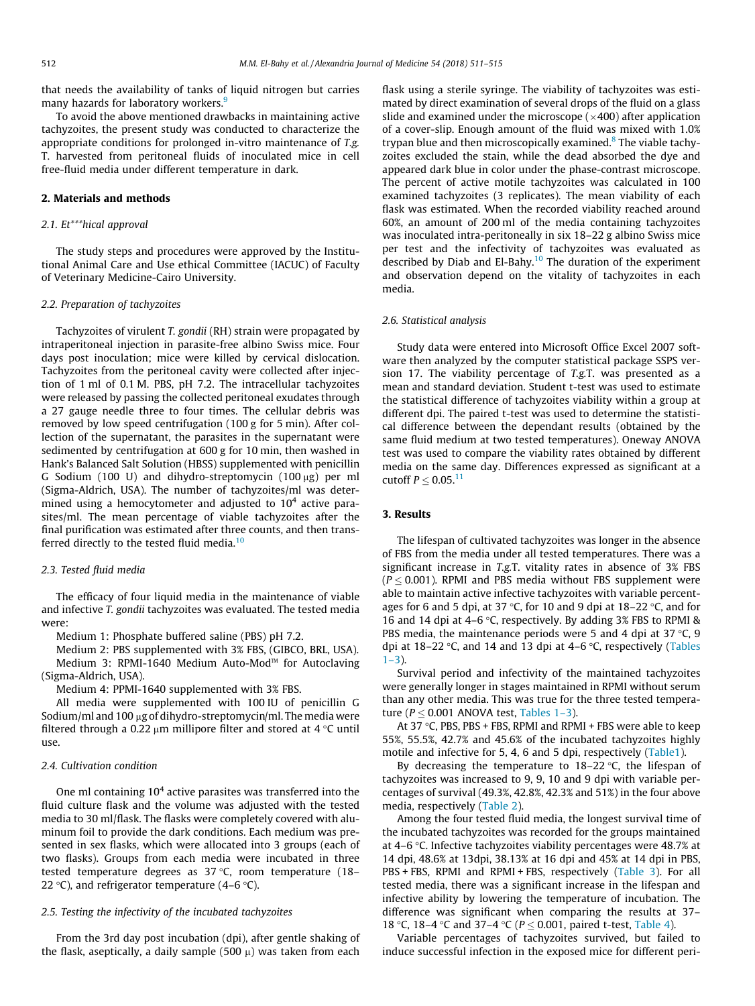that needs the availability of tanks of liquid nitrogen but carries many hazards for laboratory workers.<sup>9</sup>

To avoid the above mentioned drawbacks in maintaining active tachyzoites, the present study was conducted to characterize the appropriate conditions for prolonged in-vitro maintenance of T.g. T. harvested from peritoneal fluids of inoculated mice in cell free-fluid media under different temperature in dark.

## 2. Materials and methods

#### 2.1. Et\*\*\*hical approval

The study steps and procedures were approved by the Institutional Animal Care and Use ethical Committee (IACUC) of Faculty of Veterinary Medicine-Cairo University.

## 2.2. Preparation of tachyzoites

Tachyzoites of virulent T. gondii (RH) strain were propagated by intraperitoneal injection in parasite-free albino Swiss mice. Four days post inoculation; mice were killed by cervical dislocation. Tachyzoites from the peritoneal cavity were collected after injection of 1 ml of 0.1 M. PBS, pH 7.2. The intracellular tachyzoites were released by passing the collected peritoneal exudates through a 27 gauge needle three to four times. The cellular debris was removed by low speed centrifugation (100 g for 5 min). After collection of the supernatant, the parasites in the supernatant were sedimented by centrifugation at 600 g for 10 min, then washed in Hank's Balanced Salt Solution (HBSS) supplemented with penicillin G Sodium (100 U) and dihydro-streptomycin (100  $\mu$ g) per ml (Sigma-Aldrich, USA). The number of tachyzoites/ml was determined using a hemocytometer and adjusted to  $10<sup>4</sup>$  active parasites/ml. The mean percentage of viable tachyzoites after the final purification was estimated after three counts, and then trans-ferred directly to the tested fluid media.<sup>[10](#page-4-0)</sup>

## 2.3. Tested fluid media

The efficacy of four liquid media in the maintenance of viable and infective T. gondii tachyzoites was evaluated. The tested media were:

Medium 1: Phosphate buffered saline (PBS) pH 7.2.

Medium 2: PBS supplemented with 3% FBS, (GIBCO, BRL, USA). Medium 3: RPMI-1640 Medium Auto-Mod™ for Autoclaving (Sigma-Aldrich, USA).

Medium 4: PPMI-1640 supplemented with 3% FBS.

All media were supplemented with 100 IU of penicillin G Sodium/ml and 100  $\mu$ g of dihydro-streptomycin/ml. The media were filtered through a 0.22  $\mu$ m millipore filter and stored at 4 °C until use.

#### 2.4. Cultivation condition

One ml containing  $10<sup>4</sup>$  active parasites was transferred into the fluid culture flask and the volume was adjusted with the tested media to 30 ml/flask. The flasks were completely covered with aluminum foil to provide the dark conditions. Each medium was presented in sex flasks, which were allocated into 3 groups (each of two flasks). Groups from each media were incubated in three tested temperature degrees as  $37^{\circ}$ C, room temperature (18– 22 °C), and refrigerator temperature (4–6 °C).

## 2.5. Testing the infectivity of the incubated tachyzoites

From the 3rd day post incubation (dpi), after gentle shaking of the flask, aseptically, a daily sample (500  $\mu$ ) was taken from each flask using a sterile syringe. The viability of tachyzoites was estimated by direct examination of several drops of the fluid on a glass slide and examined under the microscope  $(x400)$  after application of a cover-slip. Enough amount of the fluid was mixed with 1.0% trypan blue and then microscopically examined.<sup>[8](#page-4-0)</sup> The viable tachyzoites excluded the stain, while the dead absorbed the dye and appeared dark blue in color under the phase-contrast microscope. The percent of active motile tachyzoites was calculated in 100 examined tachyzoites (3 replicates). The mean viability of each flask was estimated. When the recorded viability reached around 60%, an amount of 200 ml of the media containing tachyzoites was inoculated intra-peritoneally in six 18–22 g albino Swiss mice per test and the infectivity of tachyzoites was evaluated as described by Diab and El-Bahy. $10$  The duration of the experiment and observation depend on the vitality of tachyzoites in each media.

#### 2.6. Statistical analysis

Study data were entered into Microsoft Office Excel 2007 software then analyzed by the computer statistical package SSPS version 17. The viability percentage of T.g.T. was presented as a mean and standard deviation. Student t-test was used to estimate the statistical difference of tachyzoites viability within a group at different dpi. The paired t-test was used to determine the statistical difference between the dependant results (obtained by the same fluid medium at two tested temperatures). Oneway ANOVA test was used to compare the viability rates obtained by different media on the same day. Differences expressed as significant at a cutoff  $P < 0.05$ .<sup>11</sup>

## 3. Results

The lifespan of cultivated tachyzoites was longer in the absence of FBS from the media under all tested temperatures. There was a significant increase in T.g.T. vitality rates in absence of 3% FBS  $(P < 0.001)$ . RPMI and PBS media without FBS supplement were able to maintain active infective tachyzoites with variable percentages for 6 and 5 dpi, at 37 °C, for 10 and 9 dpi at 18–22 °C, and for 16 and 14 dpi at 4–6  $\degree$ C, respectively. By adding 3% FBS to RPMI & PBS media, the maintenance periods were 5 and 4 dpi at  $37^{\circ}$ C, 9 dpi at  $18-22$  °C, and  $14$  and  $13$  dpi at  $4-6$  °C, respectively ([Tables](#page-2-0)  $1 - 3$ ).

Survival period and infectivity of the maintained tachyzoites were generally longer in stages maintained in RPMI without serum than any other media. This was true for the three tested temperature ( $P \le 0.001$  ANOVA test, [Tables 1–3](#page-2-0)).

At 37 °C, PBS, PBS + FBS, RPMI and RPMI + FBS were able to keep 55%, 55.5%, 42.7% and 45.6% of the incubated tachyzoites highly motile and infective for 5, 4, 6 and 5 dpi, respectively ([Table1\)](#page-2-0).

By decreasing the temperature to  $18-22$  °C, the lifespan of tachyzoites was increased to 9, 9, 10 and 9 dpi with variable percentages of survival (49.3%, 42.8%, 42.3% and 51%) in the four above media, respectively ([Table 2\)](#page-2-0).

Among the four tested fluid media, the longest survival time of the incubated tachyzoites was recorded for the groups maintained at 4–6  $\degree$ C. Infective tachyzoites viability percentages were 48.7% at 14 dpi, 48.6% at 13dpi, 38.13% at 16 dpi and 45% at 14 dpi in PBS, PBS + FBS, RPMI and RPMI + FBS, respectively ([Table 3](#page-2-0)). For all tested media, there was a significant increase in the lifespan and infective ability by lowering the temperature of incubation. The difference was significant when comparing the results at 37– 18 °C, 18–4 °C and 37–4 °C ( $P < 0.001$ , paired t-test, [Table 4\)](#page-3-0).

Variable percentages of tachyzoites survived, but failed to induce successful infection in the exposed mice for different peri-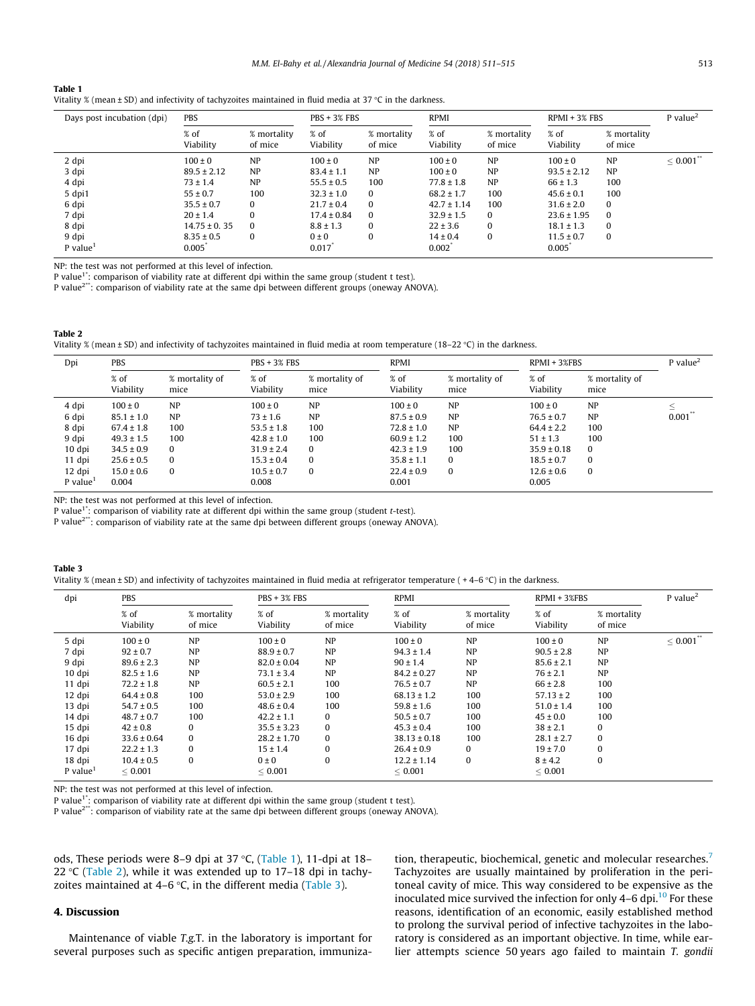<span id="page-2-0"></span>

| Table 1                                                                                                       |
|---------------------------------------------------------------------------------------------------------------|
| Vitality % (mean $\pm$ SD) and infectivity of tachyzoites maintained in fluid media at 37 °C in the darkness. |

| Days post incubation (dpi)      | PBS                     |                        | $PRS + 3% FBS$     |                        | <b>RPMI</b>           |                        | $RPMI + 3% FBS$         |                        | $P$ value <sup>2</sup>  |
|---------------------------------|-------------------------|------------------------|--------------------|------------------------|-----------------------|------------------------|-------------------------|------------------------|-------------------------|
|                                 | % of<br>Viability       | % mortality<br>of mice | % of<br>Viability  | % mortality<br>of mice | % of<br>Viability     | % mortality<br>of mice | % of<br>Viability       | % mortality<br>of mice |                         |
| 2 dpi                           | $100 \pm 0$             | NP                     | $100 \pm 0$        | NP                     | $100 \pm 0$           | <b>NP</b>              | $100 \pm 0$             | <b>NP</b>              | $< 0.001$ <sup>**</sup> |
| 3 dpi                           | $89.5 \pm 2.12$         | NP                     | $83.4 \pm 1.1$     | NP                     | $100 \pm 0$           | <b>NP</b>              | $93.5 \pm 2.12$         | NP                     |                         |
| 4 dpi                           | $73 \pm 1.4$            | NP                     | $55.5 \pm 0.5$     | 100                    | $77.8 \pm 1.8$        | <b>NP</b>              | $66 \pm 1.3$            | 100                    |                         |
| 5 dpi1                          | $55 \pm 0.7$            | 100                    | $32.3 \pm 1.0$     | $\Omega$               | $68.2 \pm 1.7$        | 100                    | $45.6 \pm 0.1$          | 100                    |                         |
| 6 dpi                           | $35.5 \pm 0.7$          | 0                      | $21.7 \pm 0.4$     | $\Omega$               | $42.7 \pm 1.14$       | 100                    | $31.6 \pm 2.0$          | $\Omega$               |                         |
| 7 dpi                           | $20 \pm 1.4$            | 0                      | $17.4 \pm 0.84$    | $\Omega$               | $32.9 \pm 1.5$        | $\Omega$               | $23.6 \pm 1.95$         | $\Omega$               |                         |
| 8 dpi                           | $14.75 \pm 0.35$        | $\Omega$               | $8.8 \pm 1.3$      | 0                      | $22 \pm 3.6$          | $\Omega$               | $18.1 \pm 1.3$          | $\Omega$               |                         |
| 9 dpi<br>$P$ value <sup>1</sup> | $8.35 \pm 0.5$<br>0.005 | 0                      | $0 \pm 0$<br>0.017 | 0                      | $14 \pm 0.4$<br>0.002 | 0                      | $11.5 \pm 0.7$<br>0.005 | 0                      |                         |

NP: the test was not performed at this level of infection.

P value<sup>1\*</sup>: comparison of viability rate at different dpi within the same group (student t test).

P value2\*\*: comparison of viability rate at the same dpi between different groups (oneway ANOVA).

| Table 2                                                                                                                         |
|---------------------------------------------------------------------------------------------------------------------------------|
| Vitality % (mean ± SD) and infectivity of tachyzoites maintained in fluid media at room temperature (18–22 °C) in the darkness. |

| Dpi                    | <b>PBS</b>          |                        | $PBS + 3% FBS$    |                        | <b>RPMI</b>       |                        | RPMI + 3%FBS      |                        | $P$ value <sup>2</sup> |
|------------------------|---------------------|------------------------|-------------------|------------------------|-------------------|------------------------|-------------------|------------------------|------------------------|
|                        | $%$ of<br>Viability | % mortality of<br>mice | % of<br>Viability | % mortality of<br>mice | % of<br>Viability | % mortality of<br>mice | % of<br>Viability | % mortality of<br>mice |                        |
| 4 dpi                  | $100 \pm 0$         | <b>NP</b>              | $100 \pm 0$       | NP                     | $100 \pm 0$       | NP                     | $100 \pm 0$       | NP                     | s.                     |
| 6 dpi                  | $85.1 \pm 1.0$      | <b>NP</b>              | $73 \pm 1.6$      | NP                     | $87.5 \pm 0.9$    | NP                     | $76.5 \pm 0.7$    | NP                     | 0.001                  |
| 8 dpi                  | $67.4 \pm 1.8$      | 100                    | $53.5 \pm 1.8$    | 100                    | $72.8 \pm 1.0$    | NP                     | $64.4 \pm 2.2$    | 100                    |                        |
| 9 dpi                  | $49.3 \pm 1.5$      | 100                    | $42.8 \pm 1.0$    | 100                    | $60.9 \pm 1.2$    | 100                    | $51 \pm 1.3$      | 100                    |                        |
| 10 dpi                 | $34.5 \pm 0.9$      | $\Omega$               | $31.9 \pm 2.4$    | $\Omega$               | $42.3 \pm 1.9$    | 100                    | $35.9 \pm 0.18$   | $\Omega$               |                        |
| 11 dpi                 | $25.6 \pm 0.5$      | $\Omega$               | $15.3 \pm 0.4$    | $\Omega$               | $35.8 \pm 1.1$    | $\Omega$               | $18.5 \pm 0.7$    | $\Omega$               |                        |
| 12 dpi                 | $15.0 \pm 0.6$      | $\Omega$               | $10.5 \pm 0.7$    | $\Omega$               | $22.4 \pm 0.9$    | 0                      | $12.6 \pm 0.6$    | $\bf{0}$               |                        |
| $P$ value <sup>1</sup> | 0.004               |                        | 0.008             |                        | 0.001             |                        | 0.005             |                        |                        |

NP: the test was not performed at this level of infection.

P value<sup>1\*</sup>: comparison of viability rate at different dpi within the same group (student t-test).

P value2\*\*: comparison of viability rate at the same dpi between different groups (oneway ANOVA).

Vitality  $\%$  (mean ± SD) and infectivity of tachyzoites maintained in fluid media at refrigerator temperature ( + 4–6 °C) in the darkness.

| dpi                                                                                                               | <b>PBS</b>                                                                                                                                                                                                     |                                                                                                        | $PBS + 3% FBS$                                                                                                                                                                                                |                                                                                                | <b>RPMI</b>                                                                                                                                                                                                          |                                                                                       | $RPMI + 3%FBS$                                                                                                                                                                                      |                                                                                    | $P$ value <sup>2</sup>    |
|-------------------------------------------------------------------------------------------------------------------|----------------------------------------------------------------------------------------------------------------------------------------------------------------------------------------------------------------|--------------------------------------------------------------------------------------------------------|---------------------------------------------------------------------------------------------------------------------------------------------------------------------------------------------------------------|------------------------------------------------------------------------------------------------|----------------------------------------------------------------------------------------------------------------------------------------------------------------------------------------------------------------------|---------------------------------------------------------------------------------------|-----------------------------------------------------------------------------------------------------------------------------------------------------------------------------------------------------|------------------------------------------------------------------------------------|---------------------------|
|                                                                                                                   | % of<br>Viability                                                                                                                                                                                              | % mortality<br>of mice                                                                                 | $%$ of<br>Viability                                                                                                                                                                                           | % mortality<br>of mice                                                                         | $%$ of<br>Viability                                                                                                                                                                                                  | % mortality<br>of mice                                                                | % of<br>Viability                                                                                                                                                                                   | % mortality<br>of mice                                                             |                           |
| 5 dpi<br>7 dpi<br>9 dpi<br>10 dpi<br>11 dpi<br>12 dpi<br>13 dpi<br>14 dpi<br>15 dpi<br>16 dpi<br>17 dpi<br>18 dpi | $100 \pm 0$<br>$92 \pm 0.7$<br>$89.6 \pm 2.3$<br>$82.5 \pm 1.6$<br>$72.2 \pm 1.8$<br>$64.4 \pm 0.8$<br>$54.7 \pm 0.5$<br>$48.7 \pm 0.7$<br>$42 \pm 0.8$<br>$33.6 \pm 0.64$<br>$22.2 \pm 1.3$<br>$10.4 \pm 0.5$ | NP<br>NP<br><b>NP</b><br>NP<br>NP<br>100<br>100<br>100<br>$\Omega$<br>$\Omega$<br>$\Omega$<br>$\Omega$ | $100 \pm 0$<br>$88.9 \pm 0.7$<br>$82.0 \pm 0.04$<br>$73.1 \pm 3.4$<br>$60.5 \pm 2.1$<br>$53.0 \pm 2.9$<br>$48.6 \pm 0.4$<br>$42.2 \pm 1.1$<br>$35.5 \pm 3.23$<br>$28.2 \pm 1.70$<br>$15 \pm 1.4$<br>$0 \pm 0$ | NP<br>NP<br><b>NP</b><br>NP<br>100<br>100<br>100<br>0<br>$\Omega$<br>$\Omega$<br>0<br>$\Omega$ | $100 \pm 0$<br>$94.3 \pm 1.4$<br>$90 \pm 1.4$<br>$84.2 \pm 0.27$<br>$76.5 \pm 0.7$<br>$68.13 \pm 1.2$<br>$59.8 \pm 1.6$<br>$50.5 \pm 0.7$<br>$45.3 \pm 0.4$<br>$38.13 \pm 0.18$<br>$26.4 \pm 0.9$<br>$12.2 \pm 1.14$ | NP<br>NP<br><b>NP</b><br>NP<br>NP<br>100<br>100<br>100<br>100<br>100<br>0<br>$\Omega$ | $100 \pm 0$<br>$90.5 \pm 2.8$<br>$85.6 \pm 2.1$<br>$76 \pm 2.1$<br>$66 \pm 2.8$<br>$57.13 \pm 2$<br>$51.0 \pm 1.4$<br>$45 \pm 0.0$<br>$38 \pm 2.1$<br>$28.1 \pm 2.7$<br>$19 \pm 7.0$<br>$8 \pm 4.2$ | NP<br>NP<br><b>NP</b><br>NP<br>100<br>100<br>100<br>100<br>0<br>$\bf{0}$<br>0<br>0 | $\leq 0.001$ <sup>*</sup> |
| $P$ value <sup>1</sup>                                                                                            | ${}< 0.001$                                                                                                                                                                                                    |                                                                                                        | ${}< 0.001$                                                                                                                                                                                                   |                                                                                                | ${}< 0.001$                                                                                                                                                                                                          |                                                                                       | < 0.001                                                                                                                                                                                             |                                                                                    |                           |

NP: the test was not performed at this level of infection.

P value<sup>1\*</sup>: comparison of viability rate at different dpi within the same group (student t test).

P value<sup>2\*\*</sup>: comparison of viability rate at the same dpi between different groups (oneway ANOVA).

ods, These periods were 8-9 dpi at 37 °C, (Table 1), 11-dpi at 18-22 °C (Table 2), while it was extended up to 17–18 dpi in tachyzoites maintained at 4–6  $\degree$ C, in the different media (Table 3).

## 4. Discussion

Maintenance of viable T.g.T. in the laboratory is important for several purposes such as specific antigen preparation, immunization, therapeutic, biochemical, genetic and molecular researches.<sup>[7](#page-4-0)</sup> Tachyzoites are usually maintained by proliferation in the peritoneal cavity of mice. This way considered to be expensive as the inoculated mice survived the infection for only  $4-6$  dpi.<sup>10</sup> For these reasons, identification of an economic, easily established method to prolong the survival period of infective tachyzoites in the laboratory is considered as an important objective. In time, while earlier attempts science 50 years ago failed to maintain T. gondii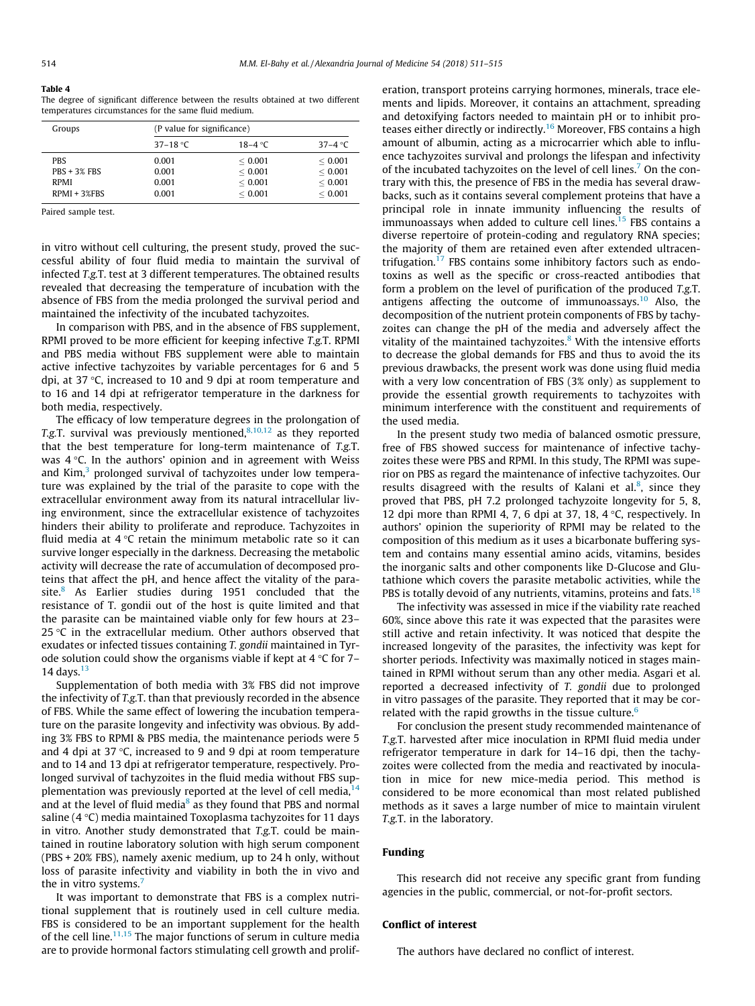#### <span id="page-3-0"></span>Table 4

The degree of significant difference between the results obtained at two different temperatures circumstances for the same fluid medium.

| Groups                                                      | (P value for significance)       |                                          |                                                  |  |  |  |
|-------------------------------------------------------------|----------------------------------|------------------------------------------|--------------------------------------------------|--|--|--|
|                                                             | 37–18 °C                         | 18–4 $\degree$ C                         | 37–4 °C                                          |  |  |  |
| <b>PBS</b><br>$PRS + 3%$ FBS<br><b>RPMI</b><br>RPMI + 3%FBS | 0.001<br>0.001<br>0.001<br>0.001 | < 0.001<br>< 0.001<br>< 0.001<br>< 0.001 | ${}< 0.001$<br>< 0.001<br>< 0.001<br>${}< 0.001$ |  |  |  |

Paired sample test.

in vitro without cell culturing, the present study, proved the successful ability of four fluid media to maintain the survival of infected T.g.T. test at 3 different temperatures. The obtained results revealed that decreasing the temperature of incubation with the absence of FBS from the media prolonged the survival period and maintained the infectivity of the incubated tachyzoites.

In comparison with PBS, and in the absence of FBS supplement, RPMI proved to be more efficient for keeping infective T.g.T. RPMI and PBS media without FBS supplement were able to maintain active infective tachyzoites by variable percentages for 6 and 5 dpi, at 37  $\degree$ C, increased to 10 and 9 dpi at room temperature and to 16 and 14 dpi at refrigerator temperature in the darkness for both media, respectively.

The efficacy of low temperature degrees in the prolongation of T.g.T. survival was previously mentioned, $8,10,12$  as they reported that the best temperature for long-term maintenance of T.g.T. was  $4^{\circ}$ C. In the authors' opinion and in agreement with Weiss and  $Kim<sup>3</sup>$  prolonged survival of tachyzoites under low temperature was explained by the trial of the parasite to cope with the extracellular environment away from its natural intracellular living environment, since the extracellular existence of tachyzoites hinders their ability to proliferate and reproduce. Tachyzoites in fluid media at  $4^{\circ}$ C retain the minimum metabolic rate so it can survive longer especially in the darkness. Decreasing the metabolic activity will decrease the rate of accumulation of decomposed proteins that affect the pH, and hence affect the vitality of the para-site.<sup>[8](#page-4-0)</sup> As Earlier studies during 1951 concluded that the resistance of T. gondii out of the host is quite limited and that the parasite can be maintained viable only for few hours at 23– 25  $\degree$ C in the extracellular medium. Other authors observed that exudates or infected tissues containing T. gondii maintained in Tyrode solution could show the organisms viable if kept at  $4^{\circ}$ C for 7– 14 days. $13$ 

Supplementation of both media with 3% FBS did not improve the infectivity of T.g.T. than that previously recorded in the absence of FBS. While the same effect of lowering the incubation temperature on the parasite longevity and infectivity was obvious. By adding 3% FBS to RPMI & PBS media, the maintenance periods were 5 and 4 dpi at 37 $\degree$ C, increased to 9 and 9 dpi at room temperature and to 14 and 13 dpi at refrigerator temperature, respectively. Prolonged survival of tachyzoites in the fluid media without FBS supplementation was previously reported at the level of cell media, $<sup>1</sup>$ </sup> and at the level of fluid media $<sup>8</sup>$  $<sup>8</sup>$  $<sup>8</sup>$  as they found that PBS and normal</sup> saline  $(4 \degree C)$  media maintained Toxoplasma tachyzoites for 11 days in vitro. Another study demonstrated that T.g.T. could be maintained in routine laboratory solution with high serum component (PBS + 20% FBS), namely axenic medium, up to 24 h only, without loss of parasite infectivity and viability in both the in vivo and the in vitro systems.<sup>7</sup>

It was important to demonstrate that FBS is a complex nutritional supplement that is routinely used in cell culture media. FBS is considered to be an important supplement for the health of the cell line. $11,15$  The major functions of serum in culture media are to provide hormonal factors stimulating cell growth and proliferation, transport proteins carrying hormones, minerals, trace elements and lipids. Moreover, it contains an attachment, spreading and detoxifying factors needed to maintain pH or to inhibit pro-teases either directly or indirectly.<sup>[16](#page-4-0)</sup> Moreover, FBS contains a high amount of albumin, acting as a microcarrier which able to influence tachyzoites survival and prolongs the lifespan and infectivity of the incubated tachyzoites on the level of cell lines.<sup>7</sup> On the contrary with this, the presence of FBS in the media has several drawbacks, such as it contains several complement proteins that have a principal role in innate immunity influencing the results of immunoassays when added to culture cell lines.<sup>15</sup> FBS contains a diverse repertoire of protein-coding and regulatory RNA species; the majority of them are retained even after extended ultracentrifugation. $17$  FBS contains some inhibitory factors such as endotoxins as well as the specific or cross-reacted antibodies that form a problem on the level of purification of the produced T.g.T. antigens affecting the outcome of immunoassays.<sup>[10](#page-4-0)</sup> Also, the decomposition of the nutrient protein components of FBS by tachyzoites can change the pH of the media and adversely affect the vitality of the maintained tachyzoites. $8$  With the intensive efforts to decrease the global demands for FBS and thus to avoid the its previous drawbacks, the present work was done using fluid media with a very low concentration of FBS (3% only) as supplement to provide the essential growth requirements to tachyzoites with minimum interference with the constituent and requirements of the used media.

In the present study two media of balanced osmotic pressure, free of FBS showed success for maintenance of infective tachyzoites these were PBS and RPMI. In this study, The RPMI was superior on PBS as regard the maintenance of infective tachyzoites. Our results disagreed with the results of Kalani et al.<sup>8</sup>, since they proved that PBS, pH 7.2 prolonged tachyzoite longevity for 5, 8, 12 dpi more than RPMI 4, 7, 6 dpi at 37, 18, 4  $\degree$ C, respectively. In authors' opinion the superiority of RPMI may be related to the composition of this medium as it uses a bicarbonate buffering system and contains many essential amino acids, vitamins, besides the inorganic salts and other components like D-Glucose and Glutathione which covers the parasite metabolic activities, while the PBS is totally devoid of any nutrients, vitamins, proteins and fats.<sup>[18](#page-4-0)</sup>

The infectivity was assessed in mice if the viability rate reached 60%, since above this rate it was expected that the parasites were still active and retain infectivity. It was noticed that despite the increased longevity of the parasites, the infectivity was kept for shorter periods. Infectivity was maximally noticed in stages maintained in RPMI without serum than any other media. Asgari et al. reported a decreased infectivity of T. gondii due to prolonged in vitro passages of the parasite. They reported that it may be correlated with the rapid growths in the tissue culture. $6$ 

For conclusion the present study recommended maintenance of T.g.T. harvested after mice inoculation in RPMI fluid media under refrigerator temperature in dark for 14–16 dpi, then the tachyzoites were collected from the media and reactivated by inoculation in mice for new mice-media period. This method is considered to be more economical than most related published methods as it saves a large number of mice to maintain virulent T.g.T. in the laboratory.

#### Funding

This research did not receive any specific grant from funding agencies in the public, commercial, or not-for-profit sectors.

## Conflict of interest

The authors have declared no conflict of interest.